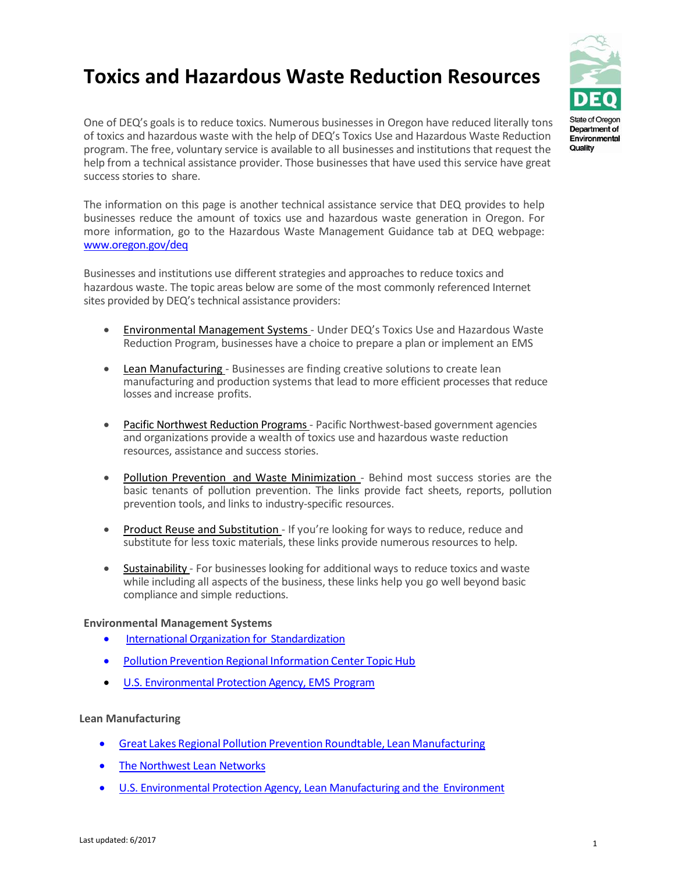# **Toxics and Hazardous Waste Reduction Resources**



One of DEQ's goals is to reduce toxics. Numerous businesses in Oregon have reduced literally tons of toxics and hazardous waste with the help of DEQ's Toxics Use and Hazardous Waste Reduction program. The free, voluntary service is available to all businesses and institutions that request the help from a technical assistance provider. Those businesses that have used this service have great success stories to share.

The information on this page is another technical assistance service that DEQ provides to help businesses reduce the amount of toxics use and hazardous waste generation in Oregon. For more information, go to the Hazardous Waste Management Guidance tab at DEQ webpage: [www.oregon.gov/deq](http://www.oregon.gov/DEQ/pages/index.aspx)

Businesses and institutions use different strategies and approaches to reduce toxics and hazardous waste. The topic areas below are some of the most commonly referenced Internet sites provided by DEQ's technical assistance providers:

- Environmental Management Systems Under DEQ's Toxics Use and Hazardous Waste Reduction Program, businesses have a choice to prepare a plan or implement an EMS
- Lean Manufacturing Businesses are finding creative solutions to create lean manufacturing and production systems that lead to more efficient processes that reduce losses and increase profits.
- Pacific Northwest Reduction Programs Pacific Northwest-based government agencies and organizations provide a wealth of toxics use and hazardous waste reduction resources, assistance and success stories.
- Pollution Prevention and Waste Minimization Behind most success stories are the basic tenants of pollution prevention. The links provide fact sheets, reports, pollution prevention tools, and links to industry-specific resources.
- Product Reuse and Substitution If you're looking for ways to reduce, reduce and substitute for less toxic materials, these links provide numerous resources to help.
- **Sustainability** For businesses looking for additional ways to reduce toxics and waste while including all aspects of the business, these links help you go well beyond basic compliance and simple reductions.

## **Environmental Management Systems**

- [International Organization for](http://www.iso.org/iso/en/ISOOnline.frontpage) Standardization
- Pollution Prevention Regional [Information](https://www.epa.gov/p2/p2-resources-business#regional) Center Topic Hub
- [U.S. Environmental Protection Agency, EMS](http://www.epa.gov/ems/) Program

## **Lean Manufacturing**

- Great Lakes Regional Pollution Prevention Roundtable, Lean [Manufacturing](http://www.glrppr.org/contacts/gltopichub.cfm?sectorid=36)
- [The Northwest Lean](http://www.nwlean.net/) Networks
- [U.S. Environmental Protection Agency, Lean Manufacturing and the](https://www.epa.gov/lean/lean-manufacturing-and-environment) Environment